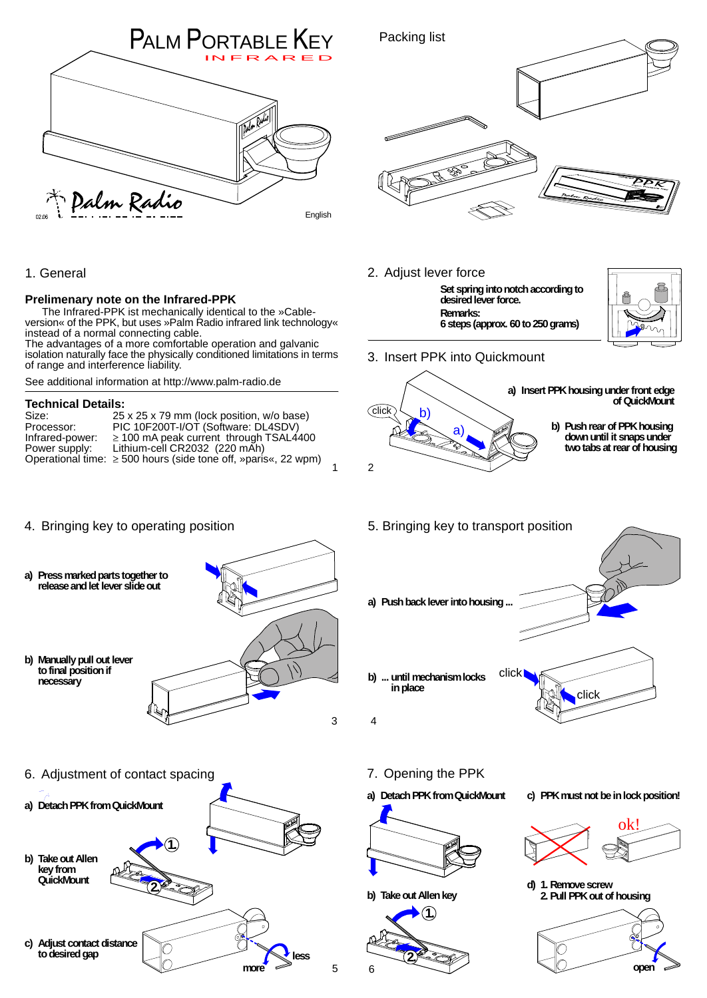

The Infrared-PPK ist mechanically identical to the »Cable version« of the PPK, but uses »Palm Radio infrared link technology« instead of a normal connecting cable.

The advantages of a more comfortable operation and galvanic isolation naturally face the physically conditioned limitations in terms 3. Insert PPK into Quickmount of range and interference liability.

See additional information at http://www.palm-radio.de

| Size:           | 25 x 25 x 79 mm (lock position, w/o base)                           |  |
|-----------------|---------------------------------------------------------------------|--|
| Processor:      | PIC 10F200T-I/OT (Software: DL4SDV)                                 |  |
| Infrared-power: | $\geq$ 100 mA peak current through TSAL4400                         |  |
| Power supply:   | Lithium-cell CR2032 (220 mAh)                                       |  |
|                 | Operational time: $\geq$ 500 hours (side tone off, »paris«, 22 wpm) |  |
|                 |                                                                     |  |



2. Adjust lever force  $\qquad \qquad \qquad$ 1. General

**Set springintonotchaccordingto** desired lever force.<br>Remarks: **Remarks:**  $||\sqrt{2}||$ **6steps(approx. 60to250grams) Prelimenary note on the Infrared-PPK**



3. Insert PPK into Quickmount

5. Bringing key to transport position



- 4. Bringing key to operating position
- 
- **b)** Manually pull out lever<br>to final position if





- 3 **a) Pressmarkedpartstogetherto release and let lever slide out that if**  $\mathbb{R}$  **is a set of the slide of the slide out that is a set of the slide of the slide of the slide of the slide of the slide of the slide of the slide of the slide of the slide of tofinal positionif necessary** and the control of the control of the control of the control of the control of the control of the control of the control of the control of the control of the control of the control of the control of the control  $4 \quad \sqrt{2}$  $click \wedge \wedge$ click <u>state of</u> the state of the state of the state of the state of the state of the state of the state of the state of the state of the state of the state of the state of the state of the state of the state of the state a) Push back lever into housing. **b) ... until mechanismlocks in place in the contract of the contract of the contract of the contract of the contract of the contract of the contract of the contract of the contract of the contract of the contract of the contract of the contract of** 
	-





a) **Detach PPK from QuickMount c) PPK must not be in lock position!** 



**d) 1.** Remove screw **2. Pull PPKout of housing b)** Take out Allen key **be a set of the Section 1 and Take out Allen key a set of housing**